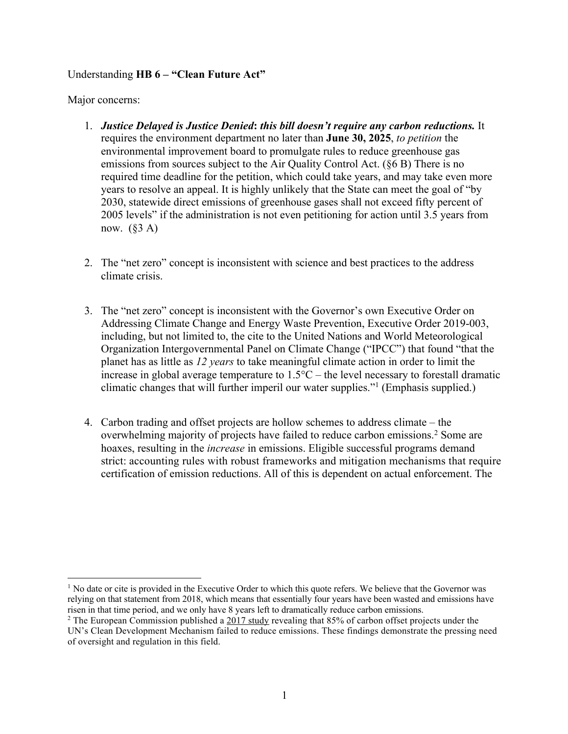## Understanding **HB 6 – "Clean Future Act"**

Major concerns:

- 1. *Justice Delayed is Justice Denied***:** *this bill doesn't require any carbon reductions.* It requires the environment department no later than **June 30, 2025**, *to petition* the environmental improvement board to promulgate rules to reduce greenhouse gas emissions from sources subject to the Air Quality Control Act. (§6 B) There is no required time deadline for the petition, which could take years, and may take even more years to resolve an appeal. It is highly unlikely that the State can meet the goal of "by 2030, statewide direct emissions of greenhouse gases shall not exceed fifty percent of 2005 levels" if the administration is not even petitioning for action until 3.5 years from now.  $(\S 3 A)$
- 2. The "net zero" concept is inconsistent with science and best practices to the address climate crisis.
- 3. The "net zero" concept is inconsistent with the Governor's own Executive Order on Addressing Climate Change and Energy Waste Prevention, Executive Order 2019-003, including, but not limited to, the cite to the United Nations and World Meteorological Organization Intergovernmental Panel on Climate Change ("IPCC") that found "that the planet has as little as *12 years* to take meaningful climate action in order to limit the increase in global average temperature to 1.5°C – the level necessary to forestall dramatic climatic changes that will further imperil our water supplies."1 (Emphasis supplied.)
- 4. Carbon trading and offset projects are hollow schemes to address climate the overwhelming majority of projects have failed to reduce carbon emissions.2 Some are hoaxes, resulting in the *increase* in emissions. Eligible successful programs demand strict: accounting rules with robust frameworks and mitigation mechanisms that require certification of emission reductions. All of this is dependent on actual enforcement. The

 $<sup>1</sup>$  No date or cite is provided in the Executive Order to which this quote refers. We believe that the Governor was</sup> relying on that statement from 2018, which means that essentially four years have been wasted and emissions have risen in that time period, and we only have 8 years left to dramatically reduce carbon emissions.

<sup>&</sup>lt;sup>2</sup> The European Commission published a  $2017$  study revealing that 85% of carbon offset projects under the UN's Clean Development Mechanism failed to reduce emissions. These findings demonstrate the pressing need of oversight and regulation in this field.